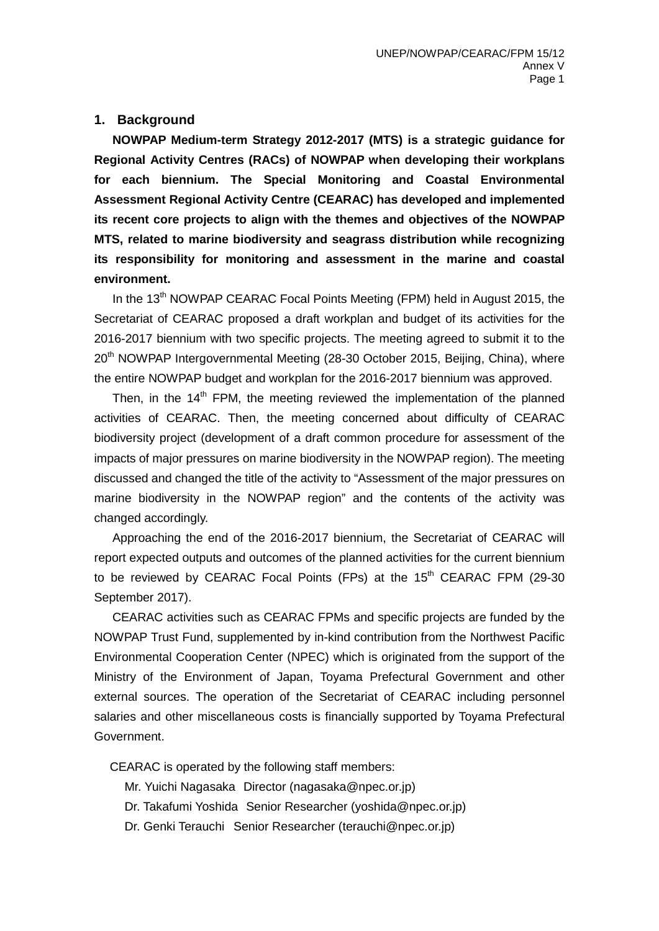#### **1. Background**

**NOWPAP Medium-term Strategy 2012-2017 (MTS) is a strategic guidance for Regional Activity Centres (RACs) of NOWPAP when developing their workplans for each biennium. The Special Monitoring and Coastal Environmental Assessment Regional Activity Centre (CEARAC) has developed and implemented its recent core projects to align with the themes and objectives of the NOWPAP MTS, related to marine biodiversity and seagrass distribution while recognizing its responsibility for monitoring and assessment in the marine and coastal environment.**

In the 13<sup>th</sup> NOWPAP CEARAC Focal Points Meeting (FPM) held in August 2015, the Secretariat of CEARAC proposed a draft workplan and budget of its activities for the 2016-2017 biennium with two specific projects. The meeting agreed to submit it to the 20<sup>th</sup> NOWPAP Intergovernmental Meeting (28-30 October 2015, Beijing, China), where the entire NOWPAP budget and workplan for the 2016-2017 biennium was approved.

Then, in the  $14<sup>th</sup>$  FPM, the meeting reviewed the implementation of the planned activities of CEARAC. Then, the meeting concerned about difficulty of CEARAC biodiversity project (development of a draft common procedure for assessment of the impacts of major pressures on marine biodiversity in the NOWPAP region). The meeting discussed and changed the title of the activity to "Assessment of the major pressures on marine biodiversity in the NOWPAP region" and the contents of the activity was changed accordingly.

Approaching the end of the 2016-2017 biennium, the Secretariat of CEARAC will report expected outputs and outcomes of the planned activities for the current biennium to be reviewed by CEARAC Focal Points (FPs) at the 15<sup>th</sup> CEARAC FPM (29-30 September 2017).

 CEARAC activities such as CEARAC FPMs and specific projects are funded by the NOWPAP Trust Fund, supplemented by in-kind contribution from the Northwest Pacific Environmental Cooperation Center (NPEC) which is originated from the support of the Ministry of the Environment of Japan, Toyama Prefectural Government and other external sources. The operation of the Secretariat of CEARAC including personnel salaries and other miscellaneous costs is financially supported by Toyama Prefectural Government.

CEARAC is operated by the following staff members:

Mr. Yuichi Nagasaka Director (nagasaka@npec.or.jp)

Dr. Takafumi Yoshida Senior Researcher (yoshida@npec.or.jp)

Dr. Genki Terauchi Senior Researcher (terauchi@npec.or.jp)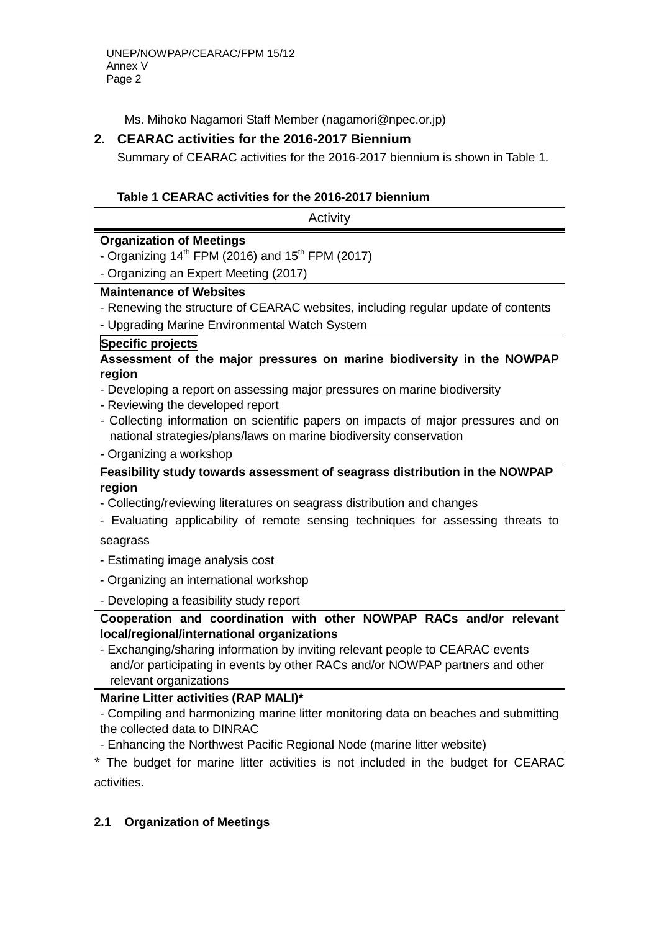Ms. Mihoko Nagamori Staff Member (nagamori@npec.or.jp)

## **2. CEARAC activities for the 2016-2017 Biennium**

Summary of CEARAC activities for the 2016-2017 biennium is shown in Table 1.

### **Table 1 CEARAC activities for the 2016-2017 biennium**

| Activity                                                                                                                    |  |  |  |  |  |
|-----------------------------------------------------------------------------------------------------------------------------|--|--|--|--|--|
| <b>Organization of Meetings</b>                                                                                             |  |  |  |  |  |
| - Organizing $14^{th}$ FPM (2016) and $15^{th}$ FPM (2017)                                                                  |  |  |  |  |  |
| - Organizing an Expert Meeting (2017)                                                                                       |  |  |  |  |  |
| <b>Maintenance of Websites</b>                                                                                              |  |  |  |  |  |
| - Renewing the structure of CEARAC websites, including regular update of contents                                           |  |  |  |  |  |
| - Upgrading Marine Environmental Watch System                                                                               |  |  |  |  |  |
| Specific projects                                                                                                           |  |  |  |  |  |
| Assessment of the major pressures on marine biodiversity in the NOWPAP<br>region                                            |  |  |  |  |  |
| - Developing a report on assessing major pressures on marine biodiversity                                                   |  |  |  |  |  |
| - Reviewing the developed report                                                                                            |  |  |  |  |  |
| - Collecting information on scientific papers on impacts of major pressures and on                                          |  |  |  |  |  |
| national strategies/plans/laws on marine biodiversity conservation                                                          |  |  |  |  |  |
| - Organizing a workshop                                                                                                     |  |  |  |  |  |
| Feasibility study towards assessment of seagrass distribution in the NOWPAP                                                 |  |  |  |  |  |
| region                                                                                                                      |  |  |  |  |  |
| - Collecting/reviewing literatures on seagrass distribution and changes                                                     |  |  |  |  |  |
| - Evaluating applicability of remote sensing techniques for assessing threats to                                            |  |  |  |  |  |
| seagrass                                                                                                                    |  |  |  |  |  |
| - Estimating image analysis cost                                                                                            |  |  |  |  |  |
| - Organizing an international workshop                                                                                      |  |  |  |  |  |
| - Developing a feasibility study report                                                                                     |  |  |  |  |  |
| Cooperation and coordination with other NOWPAP RACs and/or relevant                                                         |  |  |  |  |  |
| local/regional/international organizations                                                                                  |  |  |  |  |  |
| - Exchanging/sharing information by inviting relevant people to CEARAC events                                               |  |  |  |  |  |
| and/or participating in events by other RACs and/or NOWPAP partners and other                                               |  |  |  |  |  |
| relevant organizations                                                                                                      |  |  |  |  |  |
| Marine Litter activities (RAP MALI)*<br>- Compiling and harmonizing marine litter monitoring data on beaches and submitting |  |  |  |  |  |
| the collected data to DINRAC                                                                                                |  |  |  |  |  |
| - Enhancing the Northwest Pacific Regional Node (marine litter website)                                                     |  |  |  |  |  |
| * The budget for marine litter activities is not included in the budget for CEARAC                                          |  |  |  |  |  |

budget for marine litter activities is not included in the budget for C activities.

### **2.1 Organization of Meetings**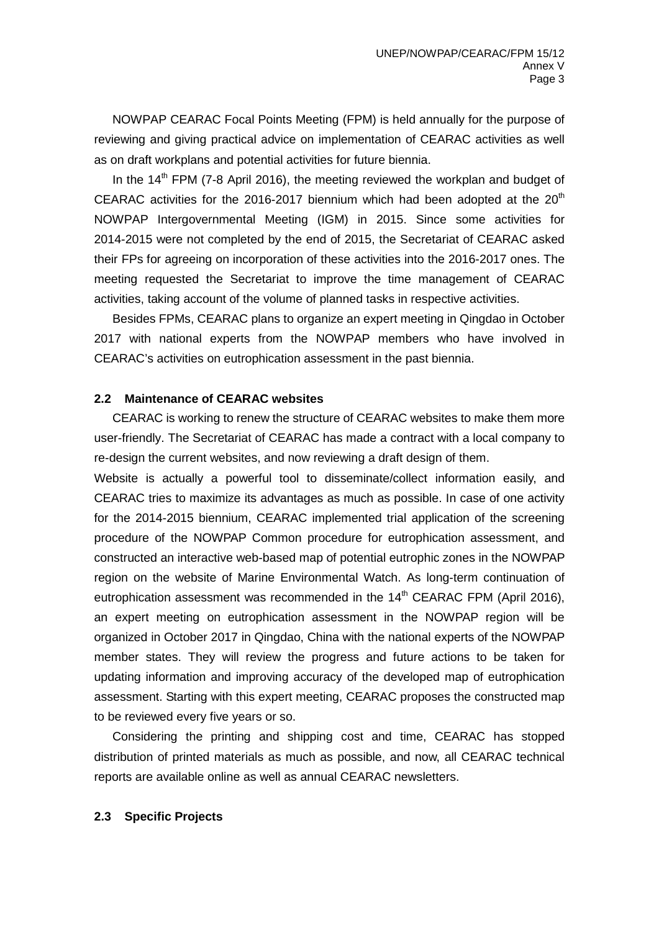NOWPAP CEARAC Focal Points Meeting (FPM) is held annually for the purpose of reviewing and giving practical advice on implementation of CEARAC activities as well as on draft workplans and potential activities for future biennia.

In the 14<sup>th</sup> FPM (7-8 April 2016), the meeting reviewed the workplan and budget of CEARAC activities for the 2016-2017 biennium which had been adopted at the  $20<sup>th</sup>$ NOWPAP Intergovernmental Meeting (IGM) in 2015. Since some activities for 2014-2015 were not completed by the end of 2015, the Secretariat of CEARAC asked their FPs for agreeing on incorporation of these activities into the 2016-2017 ones. The meeting requested the Secretariat to improve the time management of CEARAC activities, taking account of the volume of planned tasks in respective activities.

Besides FPMs, CEARAC plans to organize an expert meeting in Qingdao in October 2017 with national experts from the NOWPAP members who have involved in CEARAC's activities on eutrophication assessment in the past biennia.

#### **2.2 Maintenance of CEARAC websites**

CEARAC is working to renew the structure of CEARAC websites to make them more user-friendly. The Secretariat of CEARAC has made a contract with a local company to re-design the current websites, and now reviewing a draft design of them.

Website is actually a powerful tool to disseminate/collect information easily, and CEARAC tries to maximize its advantages as much as possible. In case of one activity for the 2014-2015 biennium, CEARAC implemented trial application of the screening procedure of the NOWPAP Common procedure for eutrophication assessment, and constructed an interactive web-based map of potential eutrophic zones in the NOWPAP region on the website of Marine Environmental Watch. As long-term continuation of eutrophication assessment was recommended in the  $14<sup>th</sup> CEARAC FPM$  (April 2016), an expert meeting on eutrophication assessment in the NOWPAP region will be organized in October 2017 in Qingdao, China with the national experts of the NOWPAP member states. They will review the progress and future actions to be taken for updating information and improving accuracy of the developed map of eutrophication assessment. Starting with this expert meeting, CEARAC proposes the constructed map to be reviewed every five years or so.

Considering the printing and shipping cost and time, CEARAC has stopped distribution of printed materials as much as possible, and now, all CEARAC technical reports are available online as well as annual CEARAC newsletters.

#### **2.3 Specific Projects**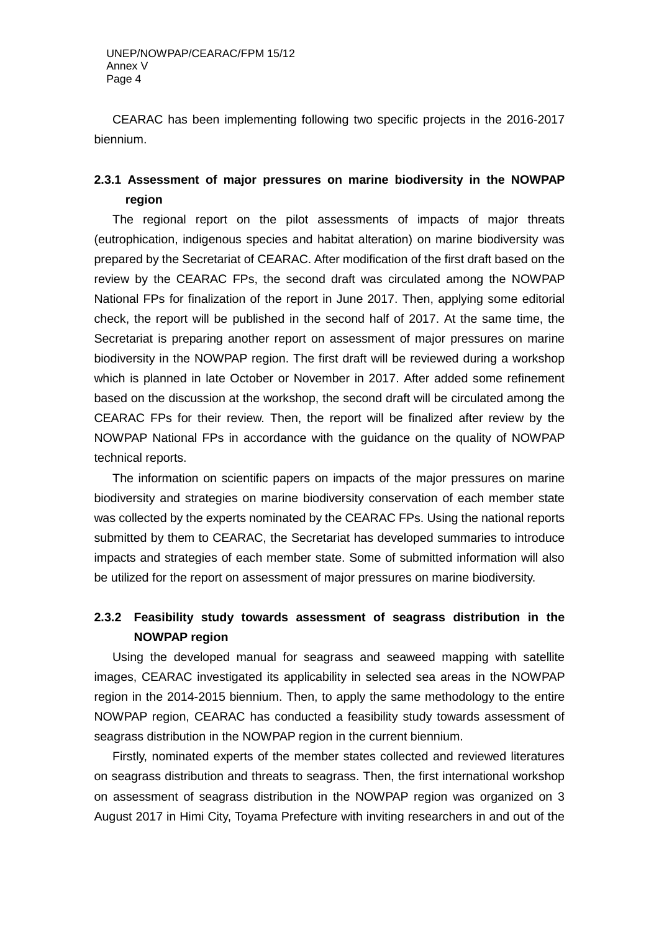CEARAC has been implementing following two specific projects in the 2016-2017 biennium.

## **2.3.1 Assessment of major pressures on marine biodiversity in the NOWPAP region**

The regional report on the pilot assessments of impacts of major threats (eutrophication, indigenous species and habitat alteration) on marine biodiversity was prepared by the Secretariat of CEARAC. After modification of the first draft based on the review by the CEARAC FPs, the second draft was circulated among the NOWPAP National FPs for finalization of the report in June 2017. Then, applying some editorial check, the report will be published in the second half of 2017. At the same time, the Secretariat is preparing another report on assessment of major pressures on marine biodiversity in the NOWPAP region. The first draft will be reviewed during a workshop which is planned in late October or November in 2017. After added some refinement based on the discussion at the workshop, the second draft will be circulated among the CEARAC FPs for their review. Then, the report will be finalized after review by the NOWPAP National FPs in accordance with the guidance on the quality of NOWPAP technical reports.

The information on scientific papers on impacts of the major pressures on marine biodiversity and strategies on marine biodiversity conservation of each member state was collected by the experts nominated by the CEARAC FPs. Using the national reports submitted by them to CEARAC, the Secretariat has developed summaries to introduce impacts and strategies of each member state. Some of submitted information will also be utilized for the report on assessment of major pressures on marine biodiversity.

# **2.3.2 Feasibility study towards assessment of seagrass distribution in the NOWPAP region**

Using the developed manual for seagrass and seaweed mapping with satellite images, CEARAC investigated its applicability in selected sea areas in the NOWPAP region in the 2014-2015 biennium. Then, to apply the same methodology to the entire NOWPAP region, CEARAC has conducted a feasibility study towards assessment of seagrass distribution in the NOWPAP region in the current biennium.

Firstly, nominated experts of the member states collected and reviewed literatures on seagrass distribution and threats to seagrass. Then, the first international workshop on assessment of seagrass distribution in the NOWPAP region was organized on 3 August 2017 in Himi City, Toyama Prefecture with inviting researchers in and out of the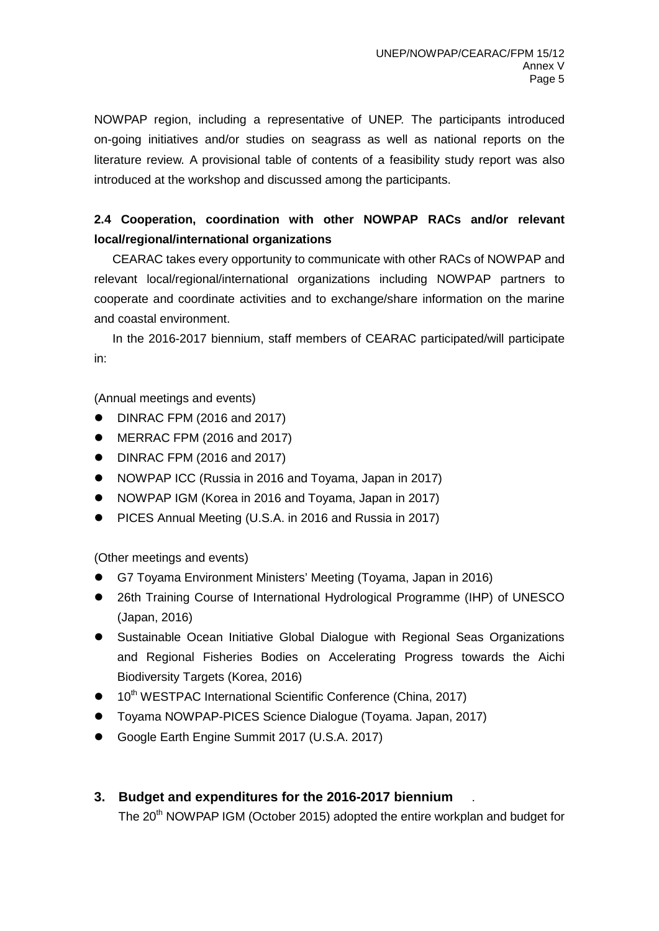NOWPAP region, including a representative of UNEP. The participants introduced on-going initiatives and/or studies on seagrass as well as national reports on the literature review. A provisional table of contents of a feasibility study report was also introduced at the workshop and discussed among the participants.

# **2.4 Cooperation, coordination with other NOWPAP RACs and/or relevant local/regional/international organizations**

 CEARAC takes every opportunity to communicate with other RACs of NOWPAP and relevant local/regional/international organizations including NOWPAP partners to cooperate and coordinate activities and to exchange/share information on the marine and coastal environment.

 In the 2016-2017 biennium, staff members of CEARAC participated/will participate in:

(Annual meetings and events)

- DINRAC FPM (2016 and 2017)
- MERRAC FPM (2016 and 2017)
- DINRAC FPM (2016 and 2017)
- NOWPAP ICC (Russia in 2016 and Toyama, Japan in 2017)
- NOWPAP IGM (Korea in 2016 and Toyama, Japan in 2017)
- **•** PICES Annual Meeting (U.S.A. in 2016 and Russia in 2017)

(Other meetings and events)

- G7 Toyama Environment Ministers' Meeting (Toyama, Japan in 2016)
- 26th Training Course of International Hydrological Programme (IHP) of UNESCO (Japan, 2016)
- Sustainable Ocean Initiative Global Dialogue with Regional Seas Organizations and Regional Fisheries Bodies on Accelerating Progress towards the Aichi Biodiversity Targets (Korea, 2016)
- 10<sup>th</sup> WESTPAC International Scientific Conference (China, 2017)
- Toyama NOWPAP-PICES Science Dialogue (Toyama. Japan, 2017)
- Google Earth Engine Summit 2017 (U.S.A. 2017)
- **3. Budget and expenditures for the 2016-2017 biennium** . The 20<sup>th</sup> NOWPAP IGM (October 2015) adopted the entire workplan and budget for